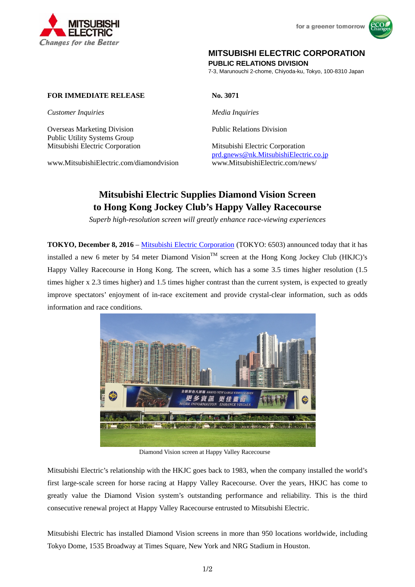



# **MITSUBISHI ELECTRIC CORPORATION**

**PUBLIC RELATIONS DIVISION** 

7-3, Marunouchi 2-chome, Chiyoda-ku, Tokyo, 100-8310 Japan

#### **FOR IMMEDIATE RELEASE** No. 3071

*Customer Inquiries Media Inquiries* 

Overseas Marketing Division Public Relations Division Public Utility Systems Group

www.MitsubishiElectric.com/diamondvision www.MitsubishiElectric.com/news/

Mitsubishi Electric Corporation Mitsubishi Electric Corporation prd.gnews@nk.MitsubishiElectric.co.jp

# **Mitsubishi Electric Supplies Diamond Vision Screen to Hong Kong Jockey Club's Happy Valley Racecourse**

*Superb high-resolution screen will greatly enhance race-viewing experiences* 

**TOKYO, December 8, 2016** – Mitsubishi Electric Corporation (TOKYO: 6503) announced today that it has installed a new 6 meter by 54 meter Diamond Vision<sup>TM</sup> screen at the Hong Kong Jockey Club (HKJC)'s Happy Valley Racecourse in Hong Kong. The screen, which has a some 3.5 times higher resolution (1.5 times higher x 2.3 times higher) and 1.5 times higher contrast than the current system, is expected to greatly improve spectators' enjoyment of in-race excitement and provide crystal-clear information, such as odds information and race conditions.



Diamond Vision screen at Happy Valley Racecourse

Mitsubishi Electric's relationship with the HKJC goes back to 1983, when the company installed the world's first large-scale screen for horse racing at Happy Valley Racecourse. Over the years, HKJC has come to greatly value the Diamond Vision system's outstanding performance and reliability. This is the third consecutive renewal project at Happy Valley Racecourse entrusted to Mitsubishi Electric.

Mitsubishi Electric has installed Diamond Vision screens in more than 950 locations worldwide, including Tokyo Dome, 1535 Broadway at Times Square, New York and NRG Stadium in Houston.